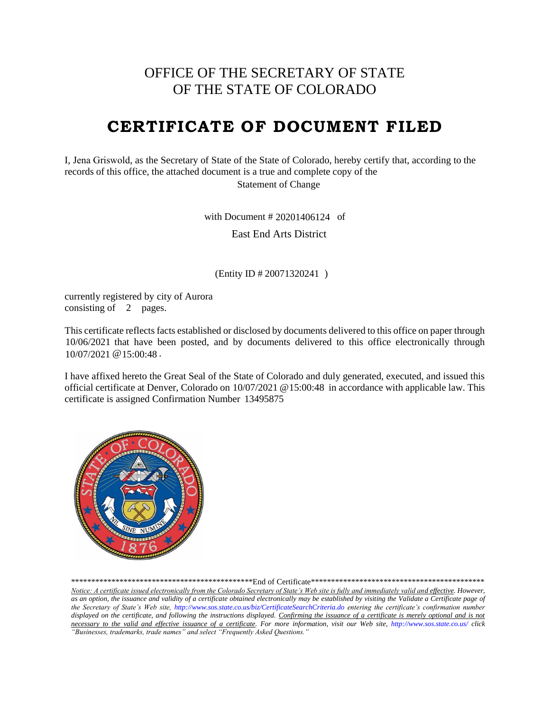## OFFICE OF THE SECRETARY OF STATE OF THE STATE OF COLORADO

# **CERTIFICATE OF DOCUMENT FILED**

I, Jena Griswold, as the Secretary of State of the State of Colorado, hereby certify that, according to the records of this office, the attached document is a true and complete copy of the

Statement of Change

with Document  $\# 20201406124$  of

East End Arts District

(Entity ID # 20071320241) with Document # 20201406124<br>East End Arts District<br>(Entity ID # 20071320241)<br>city of Aurora

currently registered by consisting of  $\,$  2 pages.

This certificate reflects facts established or disclosed by documents delivered to this office on paper through 10/06/2021 that have been posted, and by documents delivered to this office electronically through  $10/07/2021$  @  $15:00:48$ .

I have affixed hereto the Great Seal of the State of Colorado and duly generated, executed, and issued this official certificate at Denver, Colorado on 10/07/2021 @ 15:00:48 in accordance with applicable law. This certificate is assigned Confirmation Number 13495875



\*\*\*\*\*\*\*\*\*\*\*\*\*\*\*\*\*\*\*\*\*\*\*\*\*\*\*\*\*\*\*\*\*\*\*\*\*\*\*\*\*\*\*\*\*End of Certificate\*\*\*\*\*\*\*\*\*\*\*\*\*\*\*\*\*\*\*\*\*\*\*\*\*\*\*\*\*\*\*\*\*\*\*\*\*\*\*\*\*\*\*

Notice: A certificate issued electronically from the Colorado Secretary of State's Web site is fully and immediately valid and effective. However, *as an option, the issuance and validity of a certificate obtained electronically may be established by visiting the Validate a Certificate page of the Secretary of State's Web site, http://www.sos.state.co.us/biz/CertificateSearchCriteria.do entering the certificate's confirmation number displayed on the certificate, and following the instructions displayed. Confirming the issuance of a certificate is merely optional and is not necessary to the valid and effective issuance of a certificate. For more information, visit our Web site, http://www.sos.state.co.us/ click "Businesses, trademarks, trade names" and select "Frequently Asked Questions."*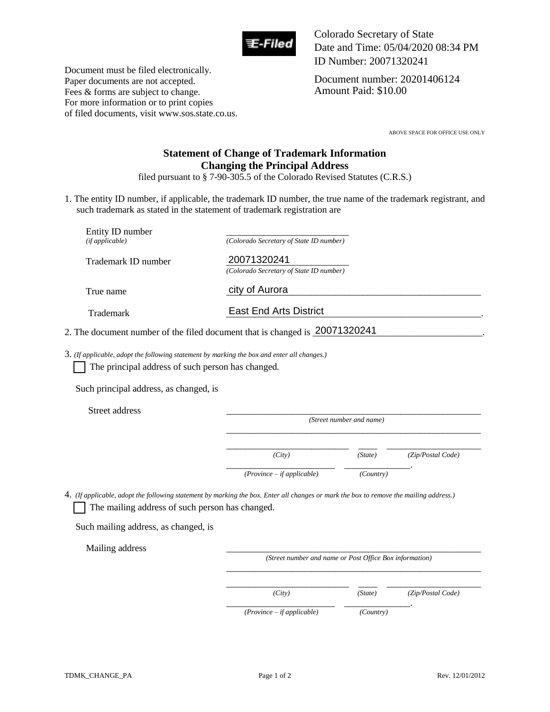

Colorado Secretary of State Date and Time: 05/04/2020 08:34 PM ID Number: 20071320241

Document number: 20201406124 Amount Paid: \$10.00

Document must be filed electronically. Paper documents are not accepted. Fees & forms are subject to change. For more information or to print copies of filed documents, visit www.sos.state.co.us.

ABOVE SPACE FOR OFFICE USE ONLY

## **Statement of Change of Trademark Information Changing the Principal Address**

filed pursuant to § 7-90-305.5 of the Colorado Revised Statutes (C.R.S.)

1. The entity ID number, if applicable, the trademark ID number, the true name of the trademark registrant, and such trademark as stated in the statement of trademark registration are

| Entity ID number<br>(if applicable)                                                                                                                                                          | (Colorado Secretary of State ID number)                                     |                          |                   |
|----------------------------------------------------------------------------------------------------------------------------------------------------------------------------------------------|-----------------------------------------------------------------------------|--------------------------|-------------------|
| Trademark ID number                                                                                                                                                                          | 20071320241<br>(Colorado Secretary of State ID number)                      |                          |                   |
| True name                                                                                                                                                                                    | city of Aurora                                                              |                          |                   |
| Trademark                                                                                                                                                                                    | <b>East End Arts District</b>                                               |                          |                   |
|                                                                                                                                                                                              | 2. The document number of the filed document that is changed is 20071320241 |                          |                   |
| $3.$ (If applicable, adopt the following statement by marking the box and enter all changes.)<br>The principal address of such person has changed.<br>Such principal address, as changed, is |                                                                             |                          |                   |
| Street address                                                                                                                                                                               |                                                                             | (Street number and name) |                   |
|                                                                                                                                                                                              |                                                                             |                          |                   |
|                                                                                                                                                                                              | (City)                                                                      | (State)                  | (Zip/Postal Code) |
|                                                                                                                                                                                              | $(Province - if applicable)$                                                | (Country)                |                   |

4. *(If applicable, adopt the following statement by marking the box. Enter all changes or mark the box to remove the mailing address.)*  The mailing address of such person has changed.

Such mailing address, as changed, is

Mailing address

*(Street number and name or Post Office Box information)* 

\_\_\_\_\_\_\_\_\_\_\_\_\_\_\_\_\_\_\_\_\_\_\_\_\_\_ \_\_\_\_ \_\_\_\_\_\_\_\_\_\_\_\_\_\_\_\_\_\_\_\_

 $\overline{\phantom{a}}$  ,  $\overline{\phantom{a}}$  ,  $\overline{\phantom{a}}$  ,  $\overline{\phantom{a}}$  ,  $\overline{\phantom{a}}$  ,  $\overline{\phantom{a}}$  ,  $\overline{\phantom{a}}$  ,  $\overline{\phantom{a}}$  ,  $\overline{\phantom{a}}$  ,  $\overline{\phantom{a}}$  ,  $\overline{\phantom{a}}$  ,  $\overline{\phantom{a}}$  ,  $\overline{\phantom{a}}$  ,  $\overline{\phantom{a}}$  ,  $\overline{\phantom{a}}$  ,  $\overline{\phantom{a}}$ 

*(City) (State) (Zip/Postal Code)* 

 *(Province – if applicable) (Country)* 

\_\_\_\_\_\_\_\_\_\_\_\_\_\_\_\_\_\_\_\_\_\_\_ \_\_\_\_\_\_\_\_\_\_\_\_\_\_.